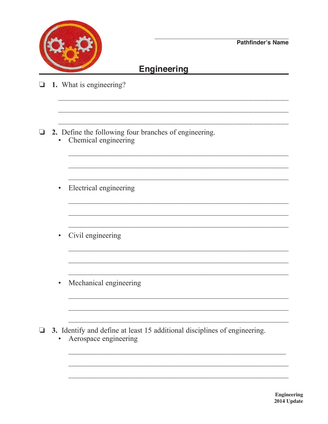

## **Engineering**

- $\Box$  1. What is engineering?
- $\Box$  2. Define the following four branches of engineering. Chemical engineering  $\bullet$ 
	- Electrical engineering  $\bullet$
	- Civil engineering  $\bullet$
	- Mechanical engineering  $\bullet$

 $\Box$  3. Identify and define at least 15 additional disciplines of engineering.

<u> 1980 - Johann John Stone, mars et al. (</u>† 1920)

• Aerospace engineering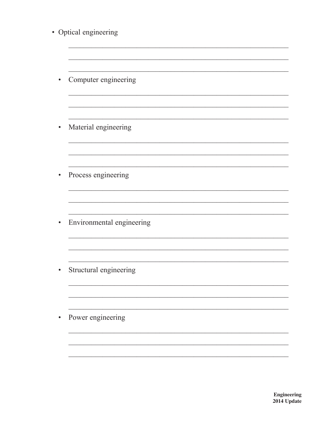| • Optical engineering     |
|---------------------------|
|                           |
| Computer engineering      |
|                           |
| Material engineering      |
|                           |
| Process engineering       |
| Environmental engineering |
|                           |
| Structural engineering    |
|                           |
| Power engineering         |
|                           |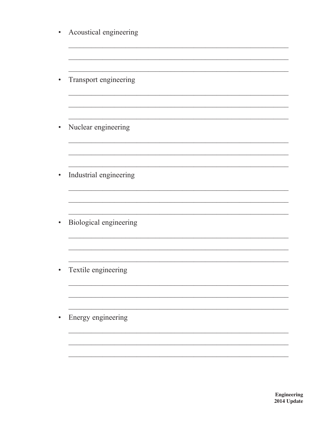| Acoustical engineering |
|------------------------|
| Transport engineering  |
| Nuclear engineering    |
| Industrial engineering |
| Biological engineering |
| Textile engineering    |
| Energy engineering     |
|                        |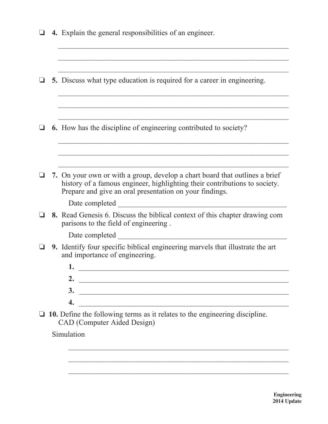|          | 4. Explain the general responsibilities of an engineer.                                                                                                                                                              |
|----------|----------------------------------------------------------------------------------------------------------------------------------------------------------------------------------------------------------------------|
|          |                                                                                                                                                                                                                      |
|          | 5. Discuss what type education is required for a career in engineering.                                                                                                                                              |
|          |                                                                                                                                                                                                                      |
| $\sqcup$ | <b>6.</b> How has the discipline of engineering contributed to society?                                                                                                                                              |
|          |                                                                                                                                                                                                                      |
|          |                                                                                                                                                                                                                      |
|          | 7. On your own or with a group, develop a chart board that outlines a brief<br>history of a famous engineer, highlighting their contributions to society.<br>Prepare and give an oral presentation on your findings. |
|          | Date completed                                                                                                                                                                                                       |
|          | 8. Read Genesis 6. Discuss the biblical context of this chapter drawing com<br>parisons to the field of engineering.                                                                                                 |
|          | Date completed                                                                                                                                                                                                       |
|          | 9. Identify four specific biblical engineering marvels that illustrate the art<br>and importance of engineering.                                                                                                     |
|          |                                                                                                                                                                                                                      |
|          | 2.                                                                                                                                                                                                                   |
|          | 3.<br><u> 1989 - Johann Stoff, deutscher Stoff, der Stoff, der Stoff, der Stoff, der Stoff, der Stoff, der Stoff, der S</u>                                                                                          |
|          | 4.<br><u> 1989 - Johann Barn, mars ann an t-Amhainn an t-Amhainn an t-Amhainn an t-Amhainn an t-Amhainn an t-Amhainn an </u>                                                                                         |
|          | 10. Define the following terms as it relates to the engineering discipline.<br>CAD (Computer Aided Design)                                                                                                           |
|          | Simulation                                                                                                                                                                                                           |
|          |                                                                                                                                                                                                                      |

 $\mathcal{L}_\text{max} = \frac{1}{2} \sum_{i=1}^{n} \frac{1}{2} \sum_{i=1}^{n} \frac{1}{2} \sum_{i=1}^{n} \frac{1}{2} \sum_{i=1}^{n} \frac{1}{2} \sum_{i=1}^{n} \frac{1}{2} \sum_{i=1}^{n} \frac{1}{2} \sum_{i=1}^{n} \frac{1}{2} \sum_{i=1}^{n} \frac{1}{2} \sum_{i=1}^{n} \frac{1}{2} \sum_{i=1}^{n} \frac{1}{2} \sum_{i=1}^{n} \frac{1}{2} \sum_{i=1}^{n} \frac{1$ 

 $\mathcal{L}_\text{max} = \frac{1}{2} \sum_{i=1}^{n} \frac{1}{2} \sum_{i=1}^{n} \frac{1}{2} \sum_{i=1}^{n} \frac{1}{2} \sum_{i=1}^{n} \frac{1}{2} \sum_{i=1}^{n} \frac{1}{2} \sum_{i=1}^{n} \frac{1}{2} \sum_{i=1}^{n} \frac{1}{2} \sum_{i=1}^{n} \frac{1}{2} \sum_{i=1}^{n} \frac{1}{2} \sum_{i=1}^{n} \frac{1}{2} \sum_{i=1}^{n} \frac{1}{2} \sum_{i=1}^{n} \frac{1$